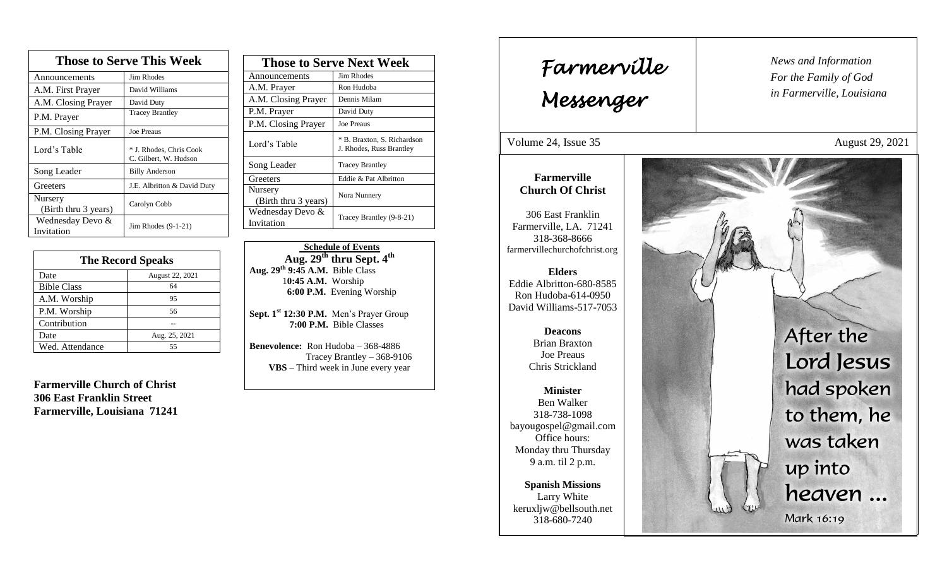| <b>Those to Serve This Week</b> |                                                  |  |
|---------------------------------|--------------------------------------------------|--|
| Announcements                   | Jim Rhodes                                       |  |
| A.M. First Prayer               | David Williams                                   |  |
| A.M. Closing Prayer             | David Duty                                       |  |
| P.M. Prayer                     | <b>Tracey Brantley</b>                           |  |
| P.M. Closing Prayer             | Joe Preaus                                       |  |
| Lord's Table                    | * J. Rhodes, Chris Cook<br>C. Gilbert, W. Hudson |  |
| Song Leader                     | <b>Billy Anderson</b>                            |  |
| Greeters                        | J.E. Albritton & David Duty                      |  |
| Nursery<br>(Birth thru 3 years) | Carolyn Cobb                                     |  |
| Wednesday Devo &<br>Invitation  | Jim Rhodes (9-1-21)                              |  |

| <b>The Record Speaks</b> |                 |
|--------------------------|-----------------|
| Date                     | August 22, 2021 |
| <b>Bible Class</b>       | 64              |
| A.M. Worship             | 95              |
| P.M. Worship             | 56              |
| Contribution             |                 |
| Date                     | Aug. 25, 2021   |
| Wed. Attendance          | 55              |

**Farmerville Church of Christ 306 East Franklin Street Farmerville, Louisiana 71241**

| <b>Those to Serve Next Week</b> |                                                         |
|---------------------------------|---------------------------------------------------------|
| Announcements                   | Jim Rhodes                                              |
| A.M. Prayer                     | Ron Hudoba                                              |
| A.M. Closing Prayer             | Dennis Milam                                            |
| P.M. Prayer                     | David Duty                                              |
| P.M. Closing Prayer             | <b>Joe Preaus</b>                                       |
| Lord's Table                    | * B. Braxton, S. Richardson<br>J. Rhodes, Russ Brantley |
| Song Leader                     | <b>Tracey Brantley</b>                                  |
| Greeters                        | Eddie & Pat Albritton                                   |
| Nursery<br>(Birth thru 3 years) | Nora Nunnery                                            |
| Wednesday Devo &<br>Invitation  | Tracey Brantley (9-8-21)                                |

 **Schedule of Events Aug. 29 th thru Sept. 4th Aug. 29 th 9:45 A.M.** Bible Class 1**0:45 A.M.** Worship  **6:00 P.M.** Evening Worship

**Sept. 1st 12:30 P.M.** Men's Prayer Group **7:00 P.M.** Bible Classes

**Benevolence:** Ron Hudoba – 368-4886 Tracey Brantley – 368-9106 **VBS** – Third week in June every year

*News and Information* **Farmerville**  $\begin{bmatrix} \text{News an} \\ \text{For the} \end{bmatrix}$ *For the Family of God in Farmerville, Louisiana Messenger*  Volume 24, Issue 35 August 29, 2021 , 2015 **Farmerville Church Of Christ** 306 East Franklin Farmerville, LA. 71241 318-368-8666 farmervillechurchofchrist.org **Elders** Eddie Albritton-680-8585 Ron Hudoba-614-0950 David Williams-517-7053 After the **Deacons**  Brian Braxton Joe Preaus Lord Jesus Chris Strickland had spoken **Minister** Ben Walker to them, he 318-738-1098 bayougospel@gmail.com was taken Office hours: Monday thru Thursday 9 a.m. til 2 p.m. up into **Spanish Missions** heaven ... Larry White keruxljw@bellsouth.net Mark 16:19 318-680-7240